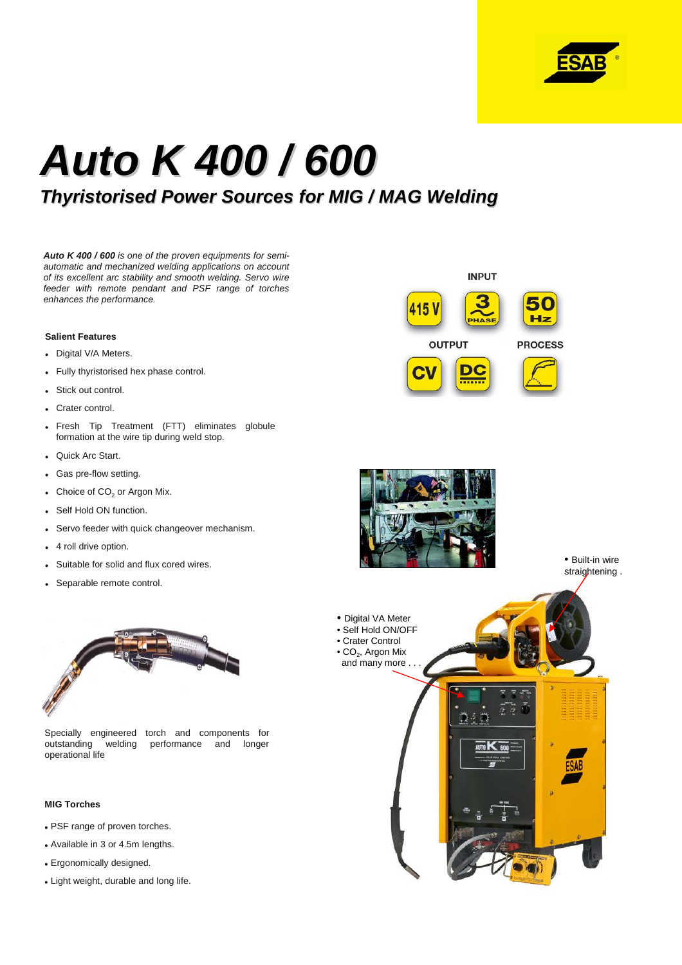

# **Auto K 400 / 600**

## **Thyristorised Power Sources for MIG / MAG Welding**

**Auto K 400 / 600** is one of the proven equipments for semiautomatic and mechanized welding applications on account of its excellent arc stability and smooth welding. Servo wire feeder with remote pendant and PSF range of torches enhances the performance.

#### **Salient Features**

- Digital V/A Meters.
- Fully thyristorised hex phase control.
- Stick out control.
- Crater control.
- Fresh Tip Treatment (FTT) eliminates globule formation at the wire tip during weld stop.
- Quick Arc Start.
- Gas pre-flow setting.
- Choice of  $CO<sub>2</sub>$  or Argon Mix.
- Self Hold ON function.
- Servo feeder with quick changeover mechanism.
- 4 roll drive option.
- Suitable for solid and flux cored wires.
- Separable remote control.



Specially engineered torch and components for outstanding welding performance and longer operational life

#### **MIG Torches**

- PSF range of proven torches.
- Available in 3 or 4.5m lengths.
- Ergonomically designed.
- Light weight, durable and long life.





• Built-in wire straightening .